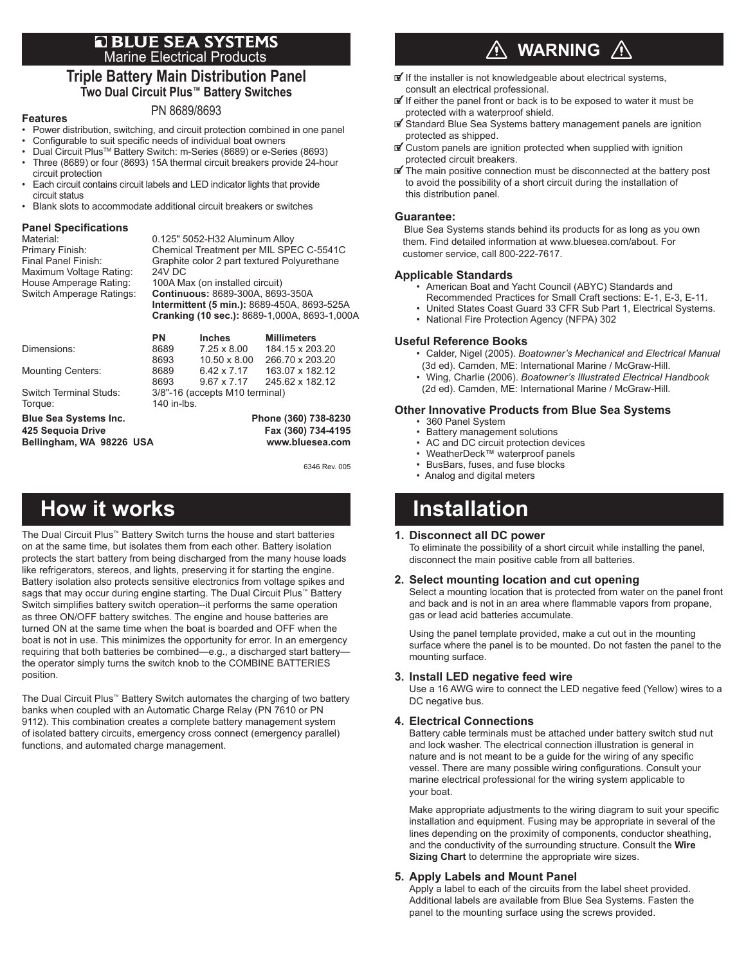### **Q BLUE SEA SYSTEMS** Marine Electrical Products

### **Triple Battery Main Distribution Panel Two Dual Circuit Plus™ Battery Switches**

### **Features**

- PN 8689/8693 • Power distribution, switching, and circuit protection combined in one panel
- Configurable to suit specific needs of individual boat owners
- Dual Circuit PlusTM Battery Switch: m-Series (8689) or e-Series (8693)
- Three (8689) or four (8693) 15A thermal circuit breakers provide 24-hour circuit protection
- Each circuit contains circuit labels and LED indicator lights that provide circuit status
- Blank slots to accommodate additional circuit breakers or switches

## **Panel Specifications**

| Material:                | 0.125" 5052-H32 Aluminum Alloy               |
|--------------------------|----------------------------------------------|
| Primary Finish:          | Chemical Treatment per MIL SPEC C-5541C      |
| Final Panel Finish:      | Graphite color 2 part textured Polyurethane  |
| Maximum Voltage Rating:  | <b>24V DC</b>                                |
| House Amperage Rating:   | 100A Max (on installed circuit)              |
| Switch Amperage Ratings: | Continuous: 8689-300A, 8693-350A             |
|                          | Intermittent (5 min.): 8689-450A, 8693-525A  |
|                          | Cranking (10 sec.): 8689-1,000A, 8693-1,000A |
|                          |                                              |

|                          | PN                             | <b>Inches</b>       | <b>Millimeters</b> |  |
|--------------------------|--------------------------------|---------------------|--------------------|--|
| Dimensions:              | 8689                           | $7.25 \times 8.00$  | 184.15 x 203.20    |  |
|                          | 8693                           | $10.50 \times 8.00$ | 266.70 x 203.20    |  |
| <b>Mounting Centers:</b> | 8689                           | $6.42 \times 7.17$  | 163.07 x 182.12    |  |
|                          | 8693                           | $9.67 \times 7.17$  | 245.62 x 182.12    |  |
| Switch Terminal Studs:   | 3/8"-16 (accepts M10 terminal) |                     |                    |  |
| Torque:                  | 140 in-lbs.                    |                     |                    |  |
|                          |                                |                     |                    |  |

**Blue Sea Systems Inc. Phone (360) 738-8230** Bellingham, WA 98226 USA

**425 Sequoia Drive Fax (360) 734-4195**

6346 Rev. 005

# **How it works The Communist Communist Except** Installation

The Dual Circuit Plus™ Battery Switch turns the house and start batteries on at the same time, but isolates them from each other. Battery isolation protects the start battery from being discharged from the many house loads like refrigerators, stereos, and lights, preserving it for starting the engine. Battery isolation also protects sensitive electronics from voltage spikes and sags that may occur during engine starting. The Dual Circuit Plus<sup>™</sup> Battery Switch simplifies battery switch operation--it performs the same operation as three ON/OFF battery switches. The engine and house batteries are turned ON at the same time when the boat is boarded and OFF when the boat is not in use. This minimizes the opportunity for error. In an emergency requiring that both batteries be combined—e.g., a discharged start battery the operator simply turns the switch knob to the COMBINE BATTERIES position.

The Dual Circuit Plus™ Battery Switch automates the charging of two battery banks when coupled with an Automatic Charge Relay (PN 7610 or PN 9112). This combination creates a complete battery management system of isolated battery circuits, emergency cross connect (emergency parallel) functions, and automated charge management.

### **WARNING**  $\sqrt{N}$

- $\mathbf{I}$  If the installer is not knowledgeable about electrical systems, consult an electrical professional.
- $\mathbf{F}$  If either the panel front or back is to be exposed to water it must be protected with a waterproof shield.
- $\mathbb Z$  Standard Blue Sea Systems battery management panels are ignition protected as shipped.
- $\mathbb Z$  Custom panels are ignition protected when supplied with ignition protected circuit breakers.
- $\mathbf{F}$  The main positive connection must be disconnected at the battery post to avoid the possibility of a short circuit during the installation of this distribution panel.

### **Guarantee:**

Blue Sea Systems stands behind its products for as long as you own them. Find detailed information at www.bluesea.com/about. For customer service, call 800-222-7617.

### **Applicable Standards**

- American Boat and Yacht Council (ABYC) Standards and
- Recommended Practices for Small Craft sections: E-1, E-3, E-11.
- United States Coast Guard 33 CFR Sub Part 1, Electrical Systems.<br>• National Fire Protection Agency (NEPA) 302
- National Fire Protection Agency (NFPA) 302

### **Useful Reference Books**

- Calder, Nigel (2005). *Boatowner's Mechanical and Electrical Manual*
- (3d ed). Camden, ME: International Marine / McGraw-Hill.
- Wing, Charlie (2006). *Boatowner's Illustrated Electrical Handbook*  (2d ed). Camden, ME: International Marine / McGraw-Hill.

### **Other Innovative Products from Blue Sea Systems**

- 360 Panel System
- Battery management solutions
- AC and DC circuit protection devices
- WeatherDeck™ waterproof panels
- BusBars, fuses, and fuse blocks
- Analog and digital meters

### **1. Disconnect all DC power**

To eliminate the possibility of a short circuit while installing the panel, disconnect the main positive cable from all batteries.

### **2. Select mounting location and cut opening**

Select a mounting location that is protected from water on the panel front and back and is not in an area where flammable vapors from propane, gas or lead acid batteries accumulate.

Using the panel template provided, make a cut out in the mounting surface where the panel is to be mounted. Do not fasten the panel to the mounting surface.

### **3. Install LED negative feed wire**

Use a 16 AWG wire to connect the LED negative feed (Yellow) wires to a DC negative bus.

### **4. Electrical Connections**

Battery cable terminals must be attached under battery switch stud nut and lock washer. The electrical connection illustration is general in nature and is not meant to be a guide for the wiring of any specific vessel. There are many possible wiring configurations. Consult your marine electrical professional for the wiring system applicable to your boat.

Make appropriate adjustments to the wiring diagram to suit your specific installation and equipment. Fusing may be appropriate in several of the lines depending on the proximity of components, conductor sheathing, and the conductivity of the surrounding structure. Consult the **Wire Sizing Chart** to determine the appropriate wire sizes.

### **5. Apply Labels and Mount Panel**

Apply a label to each of the circuits from the label sheet provided. Additional labels are available from Blue Sea Systems. Fasten the panel to the mounting surface using the screws provided.